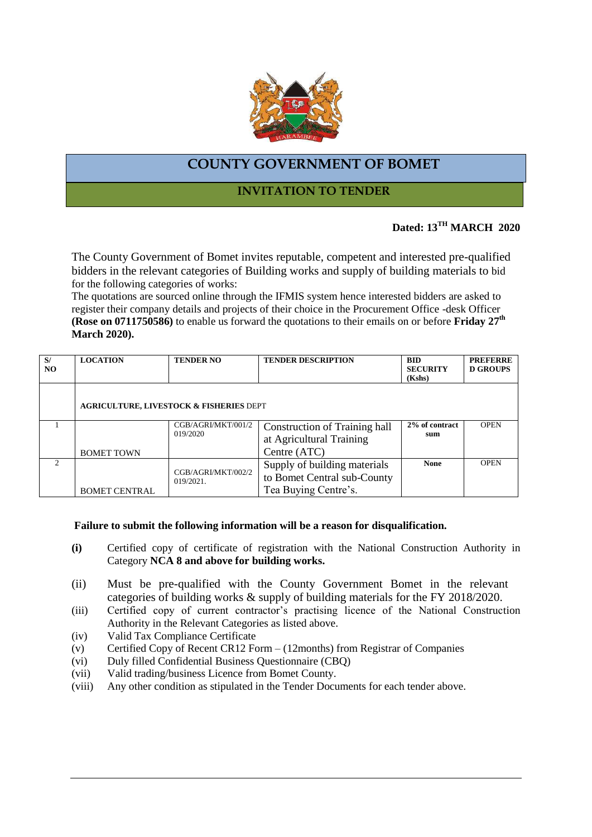

# **COUNTY GOVERNMENT OF BOMET**

### **INVITATION TO TENDER**

# **Dated: 13TH MARCH 2020**

The County Government of Bomet invites reputable, competent and interested pre-qualified bidders in the relevant categories of Building works and supply of building materials to bid for the following categories of works:

The quotations are sourced online through the IFMIS system hence interested bidders are asked to register their company details and projects of their choice in the Procurement Office -desk Officer **(Rose on 0711750586)** to enable us forward the quotations to their emails on or before **Friday 27 th March 2020).**

| S/<br>NO.     | <b>LOCATION</b>                                    | <b>TENDER NO</b>                   | <b>TENDER DESCRIPTION</b>            | <b>BID</b><br><b>SECURITY</b> | <b>PREFERRE</b><br><b>D GROUPS</b> |
|---------------|----------------------------------------------------|------------------------------------|--------------------------------------|-------------------------------|------------------------------------|
|               |                                                    |                                    |                                      | (Kshs)                        |                                    |
|               | <b>AGRICULTURE, LIVESTOCK &amp; FISHERIES DEPT</b> |                                    |                                      |                               |                                    |
|               |                                                    | CGB/AGRI/MKT/001/2<br>019/2020     | <b>Construction of Training hall</b> | 2% of contract                | <b>OPEN</b>                        |
|               |                                                    |                                    | at Agricultural Training             | sum                           |                                    |
|               | <b>BOMET TOWN</b>                                  |                                    | Centre (ATC)                         |                               |                                    |
| $\mathcal{D}$ |                                                    | CGB/AGRI/MKT/002/2<br>$019/2021$ . | Supply of building materials         | <b>None</b>                   | <b>OPEN</b>                        |
|               |                                                    |                                    | to Bomet Central sub-County          |                               |                                    |
|               | <b>BOMET CENTRAL</b>                               |                                    | Tea Buying Centre's.                 |                               |                                    |

#### **Failure to submit the following information will be a reason for disqualification.**

- **(i)** Certified copy of certificate of registration with the National Construction Authority in Category **NCA 8 and above for building works.**
- (ii) Must be pre-qualified with the County Government Bomet in the relevant categories of building works & supply of building materials for the FY 2018/2020.
- (iii) Certified copy of current contractor's practising licence of the National Construction Authority in the Relevant Categories as listed above.
- (iv) Valid Tax Compliance Certificate
- (v) Certified Copy of Recent CR12 Form  $(12$ months) from Registrar of Companies
- (vi) Duly filled Confidential Business Questionnaire (CBQ)
- (vii) Valid trading/business Licence from Bomet County.
- (viii) Any other condition as stipulated in the Tender Documents for each tender above.